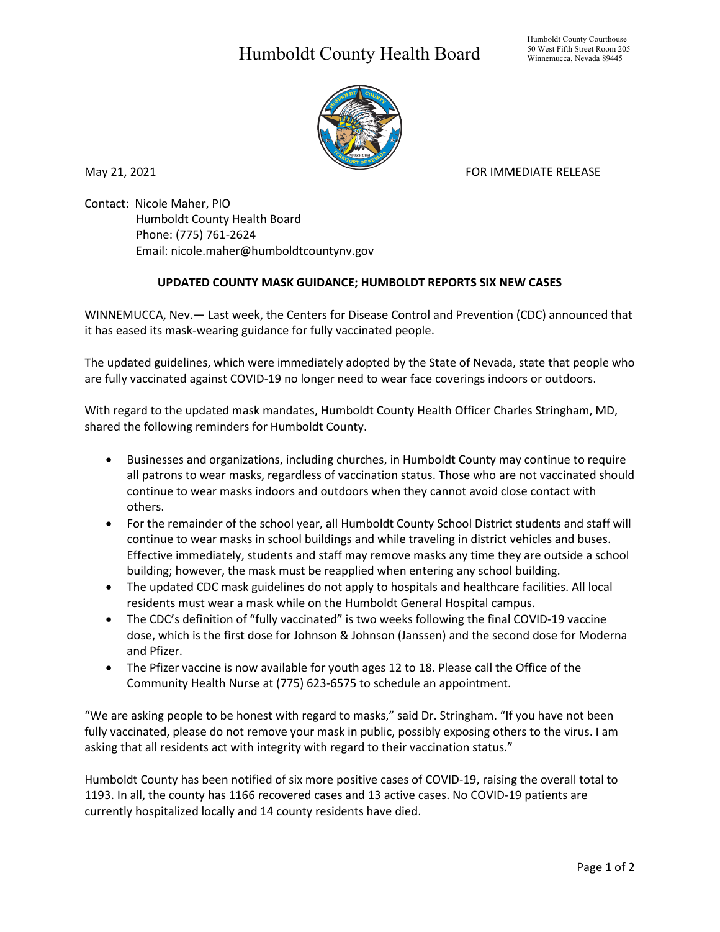## Humboldt County Health Board



May 21, 2021 **FOR IMMEDIATE RELEASE** 

Contact: Nicole Maher, PIO Humboldt County Health Board Phone: (775) 761-2624 Email: nicole.maher@humboldtcountynv.gov

## **UPDATED COUNTY MASK GUIDANCE; HUMBOLDT REPORTS SIX NEW CASES**

WINNEMUCCA, Nev.— Last week, the Centers for Disease Control and Prevention (CDC) announced that it has eased its mask-wearing guidance for fully vaccinated people.

The updated guidelines, which were immediately adopted by the State of Nevada, state that people who are fully vaccinated against COVID-19 no longer need to wear face coverings indoors or outdoors.

With regard to the updated mask mandates, Humboldt County Health Officer Charles Stringham, MD, shared the following reminders for Humboldt County.

- Businesses and organizations, including churches, in Humboldt County may continue to require all patrons to wear masks, regardless of vaccination status. Those who are not vaccinated should continue to wear masks indoors and outdoors when they cannot avoid close contact with others.
- For the remainder of the school year, all Humboldt County School District students and staff will continue to wear masks in school buildings and while traveling in district vehicles and buses. Effective immediately, students and staff may remove masks any time they are outside a school building; however, the mask must be reapplied when entering any school building.
- The updated CDC mask guidelines do not apply to hospitals and healthcare facilities. All local residents must wear a mask while on the Humboldt General Hospital campus.
- The CDC's definition of "fully vaccinated" is two weeks following the final COVID-19 vaccine dose, which is the first dose for Johnson & Johnson (Janssen) and the second dose for Moderna and Pfizer.
- The Pfizer vaccine is now available for youth ages 12 to 18. Please call the Office of the Community Health Nurse at (775) 623-6575 to schedule an appointment.

"We are asking people to be honest with regard to masks," said Dr. Stringham. "If you have not been fully vaccinated, please do not remove your mask in public, possibly exposing others to the virus. I am asking that all residents act with integrity with regard to their vaccination status."

Humboldt County has been notified of six more positive cases of COVID-19, raising the overall total to 1193. In all, the county has 1166 recovered cases and 13 active cases. No COVID-19 patients are currently hospitalized locally and 14 county residents have died.